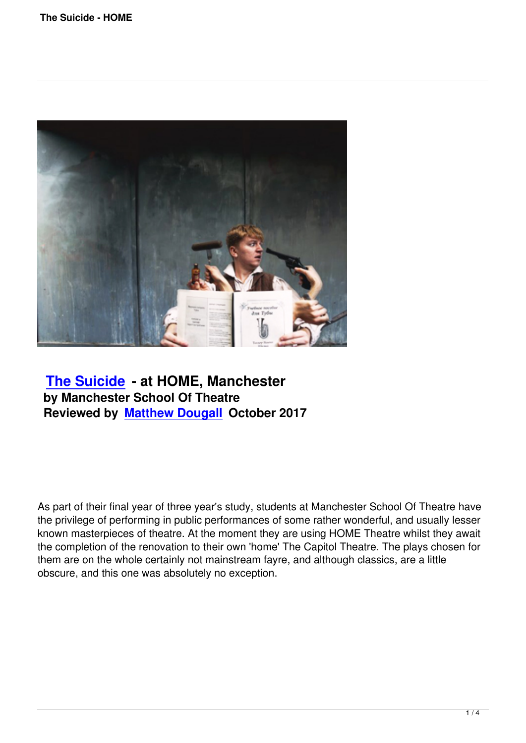

## **The Suicide - at HOME, Manchester by Manchester School Of Theatre [Reviewed by M](the-suicide-home.html)atthew Dougall October 2017**

As part of their final year of three year's study, students at Manchester School Of Theatre have the privilege of performing in public performances of some rather wonderful, and usually lesser known masterpieces of theatre. At the moment they are using HOME Theatre whilst they await the completion of the renovation to their own 'home' The Capitol Theatre. The plays chosen for them are on the whole certainly not mainstream fayre, and although classics, are a little obscure, and this one was absolutely no exception.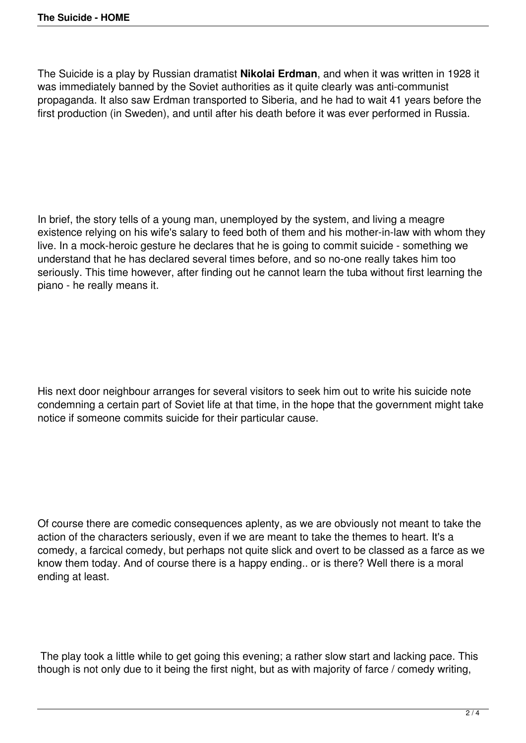The Suicide is a play by Russian dramatist **Nikolai Erdman**, and when it was written in 1928 it was immediately banned by the Soviet authorities as it quite clearly was anti-communist propaganda. It also saw Erdman transported to Siberia, and he had to wait 41 years before the first production (in Sweden), and until after his death before it was ever performed in Russia.

In brief, the story tells of a young man, unemployed by the system, and living a meagre existence relying on his wife's salary to feed both of them and his mother-in-law with whom they live. In a mock-heroic gesture he declares that he is going to commit suicide - something we understand that he has declared several times before, and so no-one really takes him too seriously. This time however, after finding out he cannot learn the tuba without first learning the piano - he really means it.

His next door neighbour arranges for several visitors to seek him out to write his suicide note condemning a certain part of Soviet life at that time, in the hope that the government might take notice if someone commits suicide for their particular cause.

Of course there are comedic consequences aplenty, as we are obviously not meant to take the action of the characters seriously, even if we are meant to take the themes to heart. It's a comedy, a farcical comedy, but perhaps not quite slick and overt to be classed as a farce as we know them today. And of course there is a happy ending.. or is there? Well there is a moral ending at least.

 The play took a little while to get going this evening; a rather slow start and lacking pace. This though is not only due to it being the first night, but as with majority of farce / comedy writing,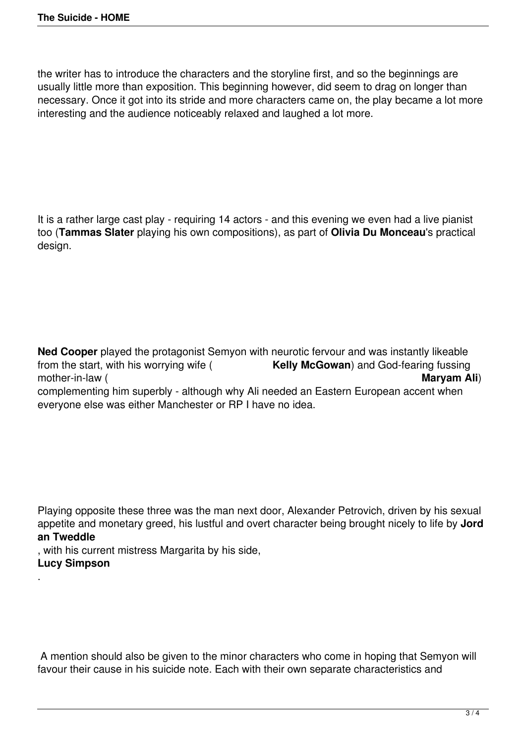the writer has to introduce the characters and the storyline first, and so the beginnings are usually little more than exposition. This beginning however, did seem to drag on longer than necessary. Once it got into its stride and more characters came on, the play became a lot more interesting and the audience noticeably relaxed and laughed a lot more.

It is a rather large cast play - requiring 14 actors - and this evening we even had a live pianist too (**Tammas Slater** playing his own compositions), as part of **Olivia Du Monceau**'s practical design.

**Ned Cooper** played the protagonist Semyon with neurotic fervour and was instantly likeable from the start, with his worrying wife (**Kelly McGowan**) and God-fearing fussing Kelly McGowan) and God-fearing fussing<br>Maryam Ali) mother-in-law ( complementing him superbly - although why Ali needed an Eastern European accent when everyone else was either Manchester or RP I have no idea.

Playing opposite these three was the man next door, Alexander Petrovich, driven by his sexual appetite and monetary greed, his lustful and overt character being brought nicely to life by **Jord an Tweddle**

, with his current mistress Margarita by his side, **Lucy Simpson**

.

 A mention should also be given to the minor characters who come in hoping that Semyon will favour their cause in his suicide note. Each with their own separate characteristics and